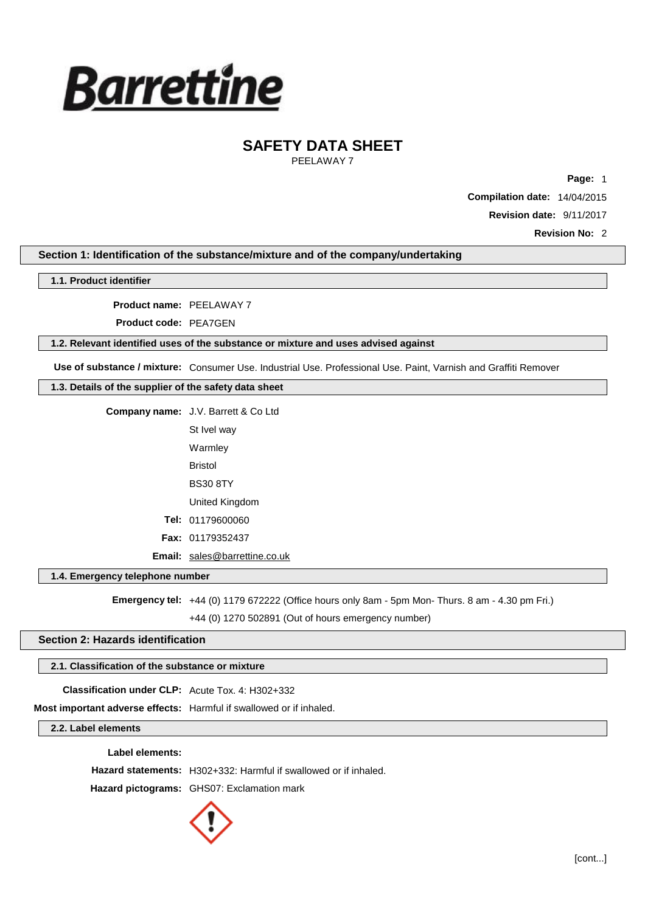

PEELAWAY 7

**Page:** 1

**Compilation date:** 14/04/2015

**Revision date:** 9/11/2017

**Revision No:** 2

**Section 1: Identification of the substance/mixture and of the company/undertaking**

**1.1. Product identifier**

**Product name:** PEELAWAY 7

**Product code:** PEA7GEN

#### **1.2. Relevant identified uses of the substance or mixture and uses advised against**

**Use of substance / mixture:** Consumer Use. Industrial Use. Professional Use. Paint, Varnish and Graffiti Remover

## **1.3. Details of the supplier of the safety data sheet**

| <b>Company name:</b> J.V. Barrett & Co Ltd |
|--------------------------------------------|
| St Ivel way                                |
| Warmley                                    |
| Bristol                                    |
| <b>BS30 8TY</b>                            |
| United Kingdom                             |
| <b>Tel: 01179600060</b>                    |
| <b>Fax: 01179352437</b>                    |
| <b>Email:</b> sales@barrettine.co.uk       |

### **1.4. Emergency telephone number**

**Emergency tel:** +44 (0) 1179 672222 (Office hours only 8am - 5pm Mon- Thurs. 8 am - 4.30 pm Fri.) +44 (0) 1270 502891 (Out of hours emergency number)

## **Section 2: Hazards identification**

### **2.1. Classification of the substance or mixture**

**Classification under CLP:** Acute Tox. 4: H302+332

**Most important adverse effects:** Harmful if swallowed or if inhaled.

**2.2. Label elements**

**Label elements:**

**Hazard statements:** H302+332: Harmful if swallowed or if inhaled.

**Hazard pictograms:** GHS07: Exclamation mark

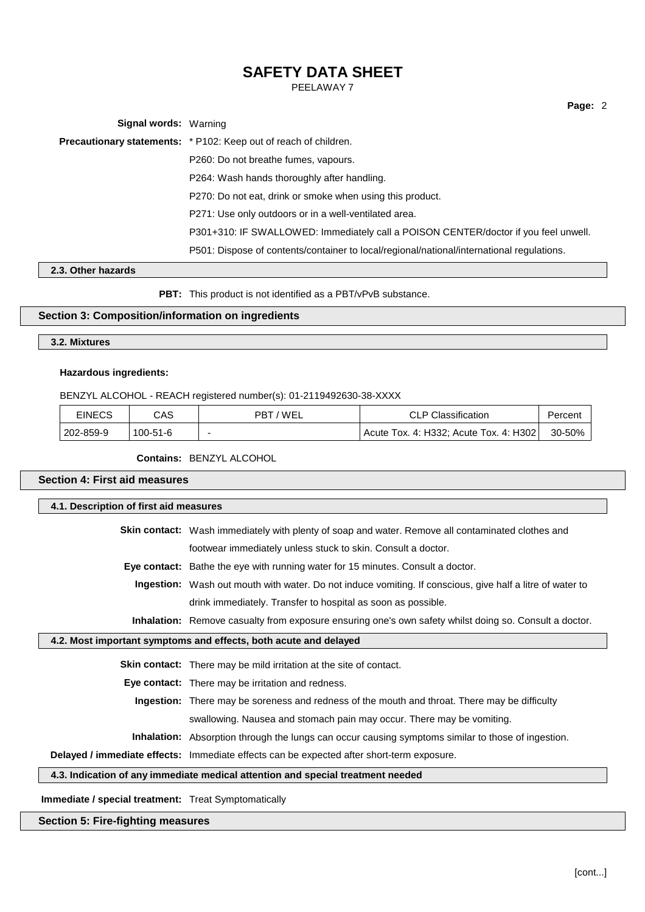PEELAWAY 7

| <b>Signal words: Warning</b> |                                                                                           |
|------------------------------|-------------------------------------------------------------------------------------------|
|                              | Precautionary statements: * P102: Keep out of reach of children.                          |
|                              | P260: Do not breathe fumes, vapours.                                                      |
|                              | P264: Wash hands thoroughly after handling.                                               |
|                              | P270: Do not eat, drink or smoke when using this product.                                 |
|                              | P271: Use only outdoors or in a well-ventilated area.                                     |
|                              | P301+310: IF SWALLOWED: Immediately call a POISON CENTER/doctor if you feel unwell.       |
|                              | P501: Dispose of contents/container to local/regional/national/international regulations. |

## **2.3. Other hazards**

**PBT:** This product is not identified as a PBT/vPvB substance.

## **Section 3: Composition/information on ingredients**

### **3.2. Mixtures**

### **Hazardous ingredients:**

BENZYL ALCOHOL - REACH registered number(s): 01-2119492630-38-XXXX

| EINECS    | CAS            | PBT/WEL | <b>CLP Classification</b>              | Percent     |
|-----------|----------------|---------|----------------------------------------|-------------|
| 202-859-9 | $100 - 51 - 6$ |         | Acute Tox. 4: H332; Acute Tox. 4: H302 | $30 - 50\%$ |

**Contains:** BENZYL ALCOHOL

## **Section 4: First aid measures**

|                                                                  | 4.1. Description of first aid measures                                                                           |  |  |
|------------------------------------------------------------------|------------------------------------------------------------------------------------------------------------------|--|--|
|                                                                  | <b>Skin contact:</b> Wash immediately with plenty of soap and water. Remove all contaminated clothes and         |  |  |
|                                                                  | footwear immediately unless stuck to skin. Consult a doctor.                                                     |  |  |
|                                                                  | <b>Eye contact:</b> Bathe the eye with running water for 15 minutes. Consult a doctor.                           |  |  |
|                                                                  | <b>Ingestion:</b> Wash out mouth with water. Do not induce vomiting. If conscious, give half a litre of water to |  |  |
|                                                                  | drink immediately. Transfer to hospital as soon as possible.                                                     |  |  |
|                                                                  | Inhalation: Remove casualty from exposure ensuring one's own safety whilst doing so. Consult a doctor.           |  |  |
| 4.2. Most important symptoms and effects, both acute and delayed |                                                                                                                  |  |  |
|                                                                  | <b>Skin contact:</b> There may be mild irritation at the site of contact.                                        |  |  |
|                                                                  | <b>Eye contact:</b> There may be irritation and redness.                                                         |  |  |
|                                                                  | <b>Ingestion:</b> There may be soreness and redness of the mouth and throat. There may be difficulty             |  |  |
|                                                                  | swallowing. Nausea and stomach pain may occur. There may be vomiting.                                            |  |  |
|                                                                  | <b>Inhalation:</b> Absorption through the lungs can occur causing symptoms similar to those of ingestion.        |  |  |
|                                                                  | Delayed / immediate effects: Immediate effects can be expected after short-term exposure.                        |  |  |
|                                                                  | 4.3. Indication of any immediate medical attention and special treatment needed                                  |  |  |

**Immediate / special treatment:** Treat Symptomatically

## **Section 5: Fire-fighting measures**

**Page:** 2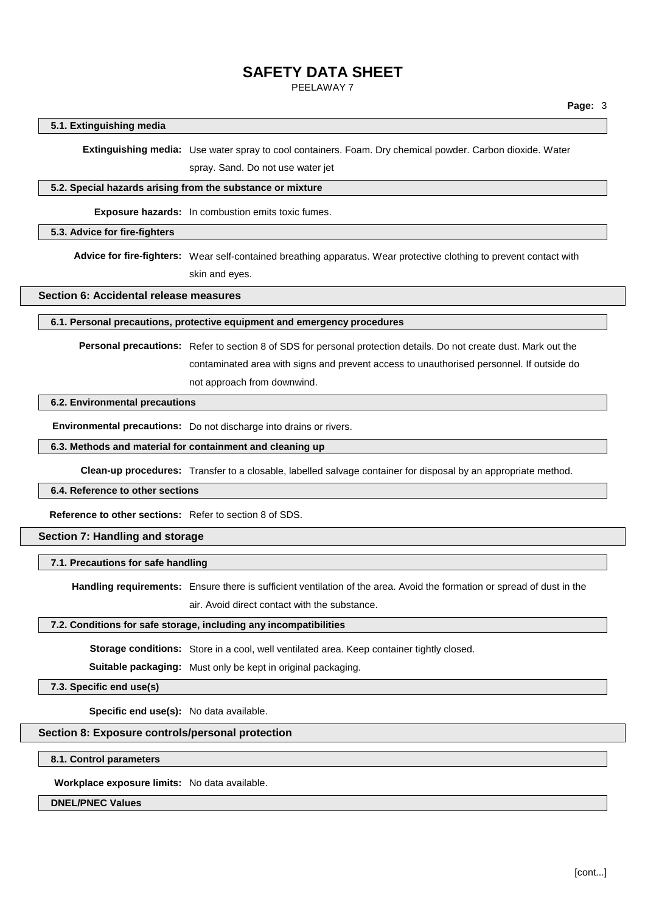PEELAWAY 7

### **5.1. Extinguishing media**

**Extinguishing media:** Use water spray to cool containers. Foam. Dry chemical powder. Carbon dioxide. Water

spray. Sand. Do not use water jet

## **5.2. Special hazards arising from the substance or mixture**

**Exposure hazards:** In combustion emits toxic fumes.

### **5.3. Advice for fire-fighters**

**Advice for fire-fighters:** Wear self-contained breathing apparatus. Wear protective clothing to prevent contact with skin and eyes.

### **Section 6: Accidental release measures**

### **6.1. Personal precautions, protective equipment and emergency procedures**

**Personal precautions:** Refer to section 8 of SDS for personal protection details. Do not create dust. Mark out the contaminated area with signs and prevent access to unauthorised personnel. If outside do not approach from downwind.

## **6.2. Environmental precautions**

**Environmental precautions:** Do not discharge into drains or rivers.

### **6.3. Methods and material for containment and cleaning up**

**Clean-up procedures:** Transfer to a closable, labelled salvage container for disposal by an appropriate method.

## **6.4. Reference to other sections**

**Reference to other sections:** Refer to section 8 of SDS.

### **Section 7: Handling and storage**

### **7.1. Precautions for safe handling**

**Handling requirements:** Ensure there is sufficient ventilation of the area. Avoid the formation or spread of dust in the

air. Avoid direct contact with the substance.

### **7.2. Conditions for safe storage, including any incompatibilities**

**Storage conditions:** Store in a cool, well ventilated area. Keep container tightly closed.

**Suitable packaging:** Must only be kept in original packaging.

**7.3. Specific end use(s)**

**Specific end use(s):** No data available.

### **Section 8: Exposure controls/personal protection**

**8.1. Control parameters**

**Workplace exposure limits:** No data available.

### **DNEL/PNEC Values**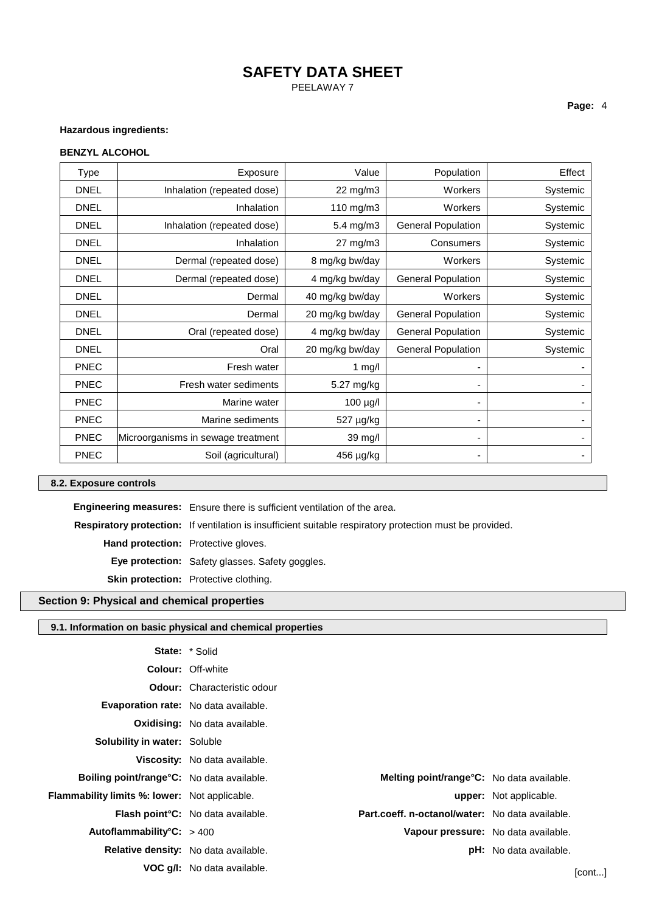## **SAFETY DATA SHEET** PEELAWAY 7

## **Hazardous ingredients:**

### **BENZYL ALCOHOL**

| <b>Type</b> | Exposure                           | Value           | Population                | Effect   |
|-------------|------------------------------------|-----------------|---------------------------|----------|
| <b>DNEL</b> | Inhalation (repeated dose)         | 22 mg/m3        | Workers                   | Systemic |
| <b>DNEL</b> | Inhalation                         | 110 mg/m3       | Workers                   | Systemic |
| <b>DNEL</b> | Inhalation (repeated dose)         | 5.4 mg/m3       | <b>General Population</b> | Systemic |
| <b>DNEL</b> | Inhalation                         | 27 mg/m3        | Consumers                 | Systemic |
| <b>DNEL</b> | Dermal (repeated dose)             | 8 mg/kg bw/day  | Workers                   | Systemic |
| <b>DNEL</b> | Dermal (repeated dose)             | 4 mg/kg bw/day  | <b>General Population</b> | Systemic |
| <b>DNEL</b> | Dermal                             | 40 mg/kg bw/day | Workers                   | Systemic |
| <b>DNEL</b> | Dermal                             | 20 mg/kg bw/day | <b>General Population</b> | Systemic |
| <b>DNEL</b> | Oral (repeated dose)               | 4 mg/kg bw/day  | <b>General Population</b> | Systemic |
| <b>DNEL</b> | Oral                               | 20 mg/kg bw/day | <b>General Population</b> | Systemic |
| <b>PNEC</b> | Fresh water                        | 1 mg/l          |                           |          |
| <b>PNEC</b> | Fresh water sediments              | 5.27 mg/kg      |                           |          |
| <b>PNEC</b> | Marine water                       | 100 µg/l        |                           |          |
| <b>PNEC</b> | Marine sediments                   | 527 µg/kg       |                           |          |
| <b>PNEC</b> | Microorganisms in sewage treatment | 39 mg/l         |                           |          |
| <b>PNEC</b> | Soil (agricultural)                | 456 µg/kg       |                           | ۰        |

### **8.2. Exposure controls**

**Engineering measures:** Ensure there is sufficient ventilation of the area.

**Respiratory protection:** If ventilation is insufficient suitable respiratory protection must be provided.

**Hand protection:** Protective gloves.

**Eye protection:** Safety glasses. Safety goggles.

**Skin protection:** Protective clothing.

## **Section 9: Physical and chemical properties**

## **9.1. Information on basic physical and chemical properties**

|                                                      | <b>State:</b> * Solid                     |                                                   |                               |        |
|------------------------------------------------------|-------------------------------------------|---------------------------------------------------|-------------------------------|--------|
|                                                      | <b>Colour: Off-white</b>                  |                                                   |                               |        |
|                                                      | <b>Odour:</b> Characteristic odour        |                                                   |                               |        |
| <b>Evaporation rate:</b> No data available.          |                                           |                                                   |                               |        |
|                                                      | <b>Oxidising:</b> No data available.      |                                                   |                               |        |
| Solubility in water: Soluble                         |                                           |                                                   |                               |        |
|                                                      | Viscosity: No data available.             |                                                   |                               |        |
| <b>Boiling point/range °C:</b> No data available.    |                                           | <b>Melting point/range °C:</b> No data available. |                               |        |
| <b>Flammability limits %: lower:</b> Not applicable. |                                           |                                                   | <b>upper:</b> Not applicable. |        |
|                                                      | <b>Flash point °C:</b> No data available. | Part.coeff. n-octanol/water: No data available.   |                               |        |
| Autoflammability°C: > 400                            |                                           | Vapour pressure: No data available.               |                               |        |
| Relative density: No data available.                 |                                           |                                                   | pH: No data available.        |        |
|                                                      | <b>VOC g/l:</b> No data available.        |                                                   |                               | [cont] |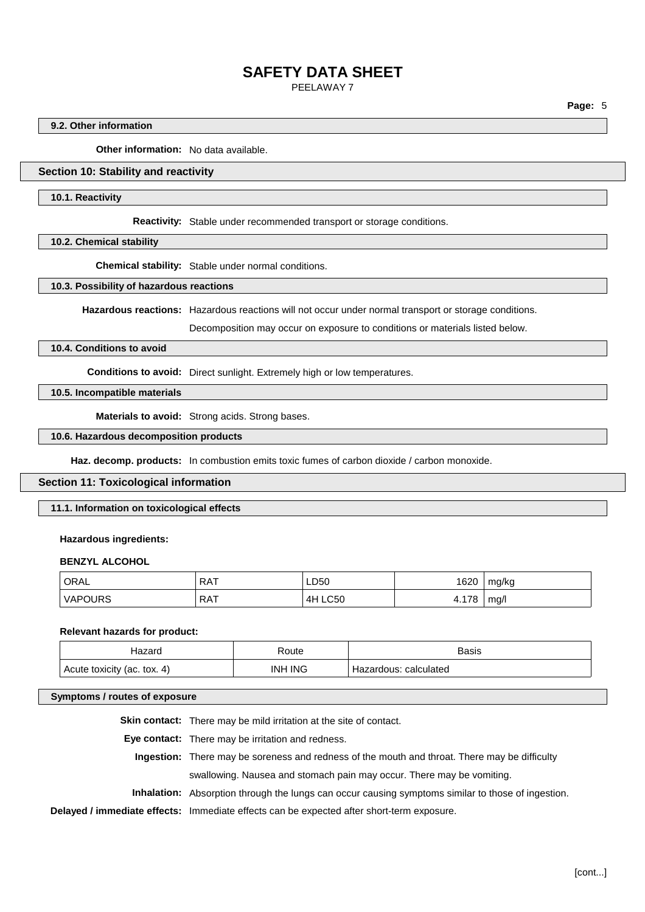PEELAWAY 7

**Page:** 5

### **9.2. Other information**

**Other information:** No data available.

## **Section 10: Stability and reactivity**

### **10.1. Reactivity**

**Reactivity:** Stable under recommended transport or storage conditions.

### **10.2. Chemical stability**

**Chemical stability:** Stable under normal conditions.

### **10.3. Possibility of hazardous reactions**

**Hazardous reactions:** Hazardous reactions will not occur under normal transport or storage conditions.

Decomposition may occur on exposure to conditions or materials listed below.

### **10.4. Conditions to avoid**

**Conditions to avoid:** Direct sunlight. Extremely high or low temperatures.

### **10.5. Incompatible materials**

**Materials to avoid:** Strong acids. Strong bases.

### **10.6. Hazardous decomposition products**

Haz. decomp. products: In combustion emits toxic fumes of carbon dioxide / carbon monoxide.

### **Section 11: Toxicological information**

### **11.1. Information on toxicological effects**

### **Hazardous ingredients:**

### **BENZYL ALCOHOL**

| ORAL           | <b>RAT</b> | LD50           | 1620  | mg/kg |
|----------------|------------|----------------|-------|-------|
| <b>VAPOURS</b> | <b>RAT</b> | <b>4H LC50</b> | 4.178 | mq/l  |

#### **Relevant hazards for product:**

|                             | रoute   | Basis                      |
|-----------------------------|---------|----------------------------|
| Acute toxicity (ac. tox. 4) | INH ING | : calculated<br>Hazardous: |

## **Symptoms / routes of exposure**

| <b>Skin contact:</b> There may be mild irritation at the site of contact.                                 |
|-----------------------------------------------------------------------------------------------------------|
| <b>Eye contact:</b> There may be irritation and redness.                                                  |
| Ingestion: There may be soreness and redness of the mouth and throat. There may be difficulty             |
| swallowing. Nausea and stomach pain may occur. There may be vomiting.                                     |
| <b>Inhalation:</b> Absorption through the lungs can occur causing symptoms similar to those of ingestion. |
| Delayed / immediate effects: Immediate effects can be expected after short-term exposure.                 |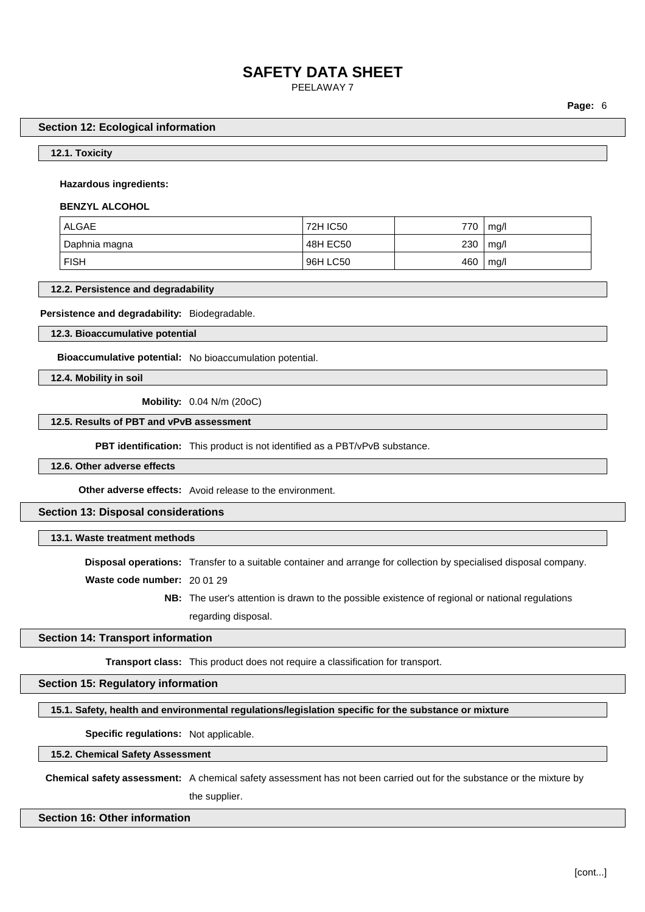PEELAWAY 7

**Page:** 6

#### **Section 12: Ecological information**

**12.1. Toxicity**

#### **Hazardous ingredients:**

### **BENZYL ALCOHOL**

| ALGAE         | 72H IC50 | 770 | mg/l |
|---------------|----------|-----|------|
| Daphnia magna | 48H EC50 | 230 | mq/l |
| <b>FISH</b>   | 96H LC50 | 460 | mg/l |

### **12.2. Persistence and degradability**

### **Persistence and degradability:** Biodegradable.

**12.3. Bioaccumulative potential**

**Bioaccumulative potential:** No bioaccumulation potential.

**12.4. Mobility in soil**

**Mobility:** 0.04 N/m (20oC)

### **12.5. Results of PBT and vPvB assessment**

**PBT identification:** This product is not identified as a PBT/vPvB substance.

**12.6. Other adverse effects**

**Other adverse effects:** Avoid release to the environment.

### **Section 13: Disposal considerations**

### **13.1. Waste treatment methods**

**Disposal operations:** Transfer to a suitable container and arrange for collection by specialised disposal company.

**Waste code number:** 20 01 29

**NB:** The user's attention is drawn to the possible existence of regional or national regulations regarding disposal.

## **Section 14: Transport information**

**Transport class:** This product does not require a classification for transport.

## **Section 15: Regulatory information**

**15.1. Safety, health and environmental regulations/legislation specific for the substance or mixture**

**Specific regulations:** Not applicable.

**15.2. Chemical Safety Assessment**

**Chemical safety assessment:** A chemical safety assessment has not been carried out for the substance or the mixture by the supplier.

### **Section 16: Other information**